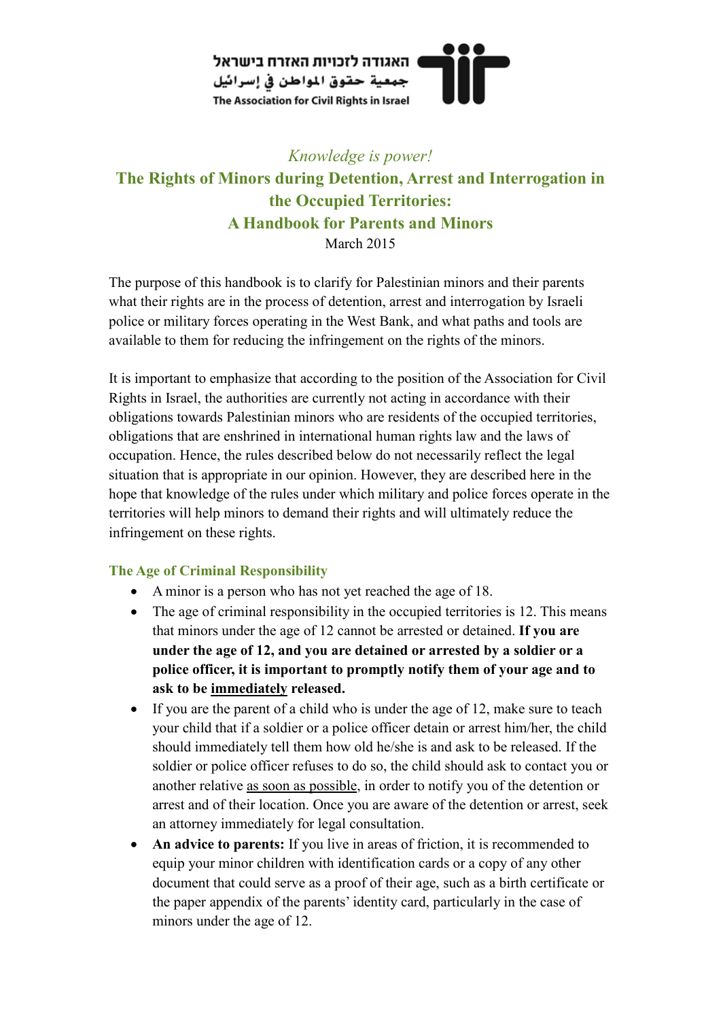

# *Knowledge is power!*  **The Rights of Minors during Detention, Arrest and Interrogation in the Occupied Territories: A Handbook for Parents and Minors**  March 2015

The purpose of this handbook is to clarify for Palestinian minors and their parents what their rights are in the process of detention, arrest and interrogation by Israeli police or military forces operating in the West Bank, and what paths and tools are available to them for reducing the infringement on the rights of the minors.

It is important to emphasize that according to the position of the Association for Civil Rights in Israel, the authorities are currently not acting in accordance with their obligations towards Palestinian minors who are residents of the occupied territories, obligations that are enshrined in international human rights law and the laws of occupation. Hence, the rules described below do not necessarily reflect the legal situation that is appropriate in our opinion. However, they are described here in the hope that knowledge of the rules under which military and police forces operate in the territories will help minors to demand their rights and will ultimately reduce the infringement on these rights.

## **The Age of Criminal Responsibility**

- A minor is a person who has not yet reached the age of 18.
- The age of criminal responsibility in the occupied territories is 12. This means that minors under the age of 12 cannot be arrested or detained. **If you are under the age of 12, and you are detained or arrested by a soldier or a police officer, it is important to promptly notify them of your age and to ask to be immediately released.**
- If you are the parent of a child who is under the age of 12, make sure to teach your child that if a soldier or a police officer detain or arrest him/her, the child should immediately tell them how old he/she is and ask to be released. If the soldier or police officer refuses to do so, the child should ask to contact you or another relative as soon as possible, in order to notify you of the detention or arrest and of their location. Once you are aware of the detention or arrest, seek an attorney immediately for legal consultation.
- **An advice to parents:** If you live in areas of friction, it is recommended to equip your minor children with identification cards or a copy of any other document that could serve as a proof of their age, such as a birth certificate or the paper appendix of the parents' identity card, particularly in the case of minors under the age of 12.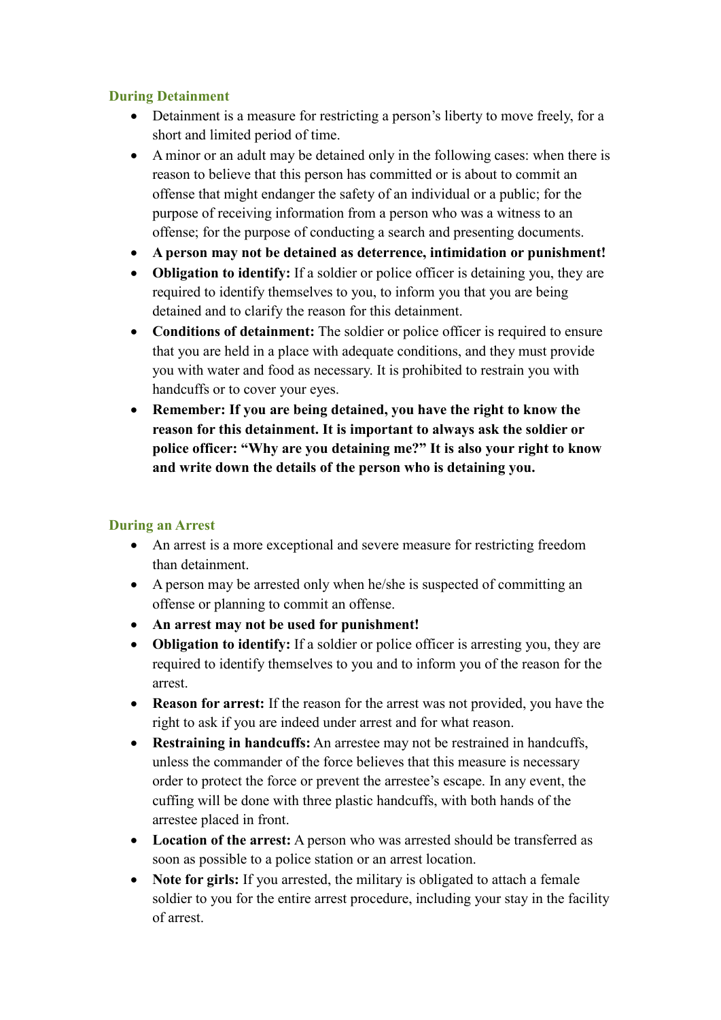### **During Detainment**

- Detainment is a measure for restricting a person's liberty to move freely, for a short and limited period of time.
- A minor or an adult may be detained only in the following cases: when there is reason to believe that this person has committed or is about to commit an offense that might endanger the safety of an individual or a public; for the purpose of receiving information from a person who was a witness to an offense; for the purpose of conducting a search and presenting documents.
- **A person may not be detained as deterrence, intimidation or punishment!**
- **Obligation to identify:** If a soldier or police officer is detaining you, they are required to identify themselves to you, to inform you that you are being detained and to clarify the reason for this detainment.
- **Conditions of detainment:** The soldier or police officer is required to ensure that you are held in a place with adequate conditions, and they must provide you with water and food as necessary. It is prohibited to restrain you with handcuffs or to cover your eyes.
- **Remember: If you are being detained, you have the right to know the reason for this detainment. It is important to always ask the soldier or police officer: "Why are you detaining me?" It is also your right to know and write down the details of the person who is detaining you.**

## **During an Arrest**

- An arrest is a more exceptional and severe measure for restricting freedom than detainment.
- A person may be arrested only when he/she is suspected of committing an offense or planning to commit an offense.
- **An arrest may not be used for punishment!**
- **Obligation to identify:** If a soldier or police officer is arresting you, they are required to identify themselves to you and to inform you of the reason for the arrest.
- **Reason for arrest:** If the reason for the arrest was not provided, you have the right to ask if you are indeed under arrest and for what reason.
- **Restraining in handcuffs:** An arrestee may not be restrained in handcuffs, unless the commander of the force believes that this measure is necessary order to protect the force or prevent the arrestee's escape. In any event, the cuffing will be done with three plastic handcuffs, with both hands of the arrestee placed in front.
- **Location of the arrest:** A person who was arrested should be transferred as soon as possible to a police station or an arrest location.
- **Note for girls:** If you arrested, the military is obligated to attach a female soldier to you for the entire arrest procedure, including your stay in the facility of arrest.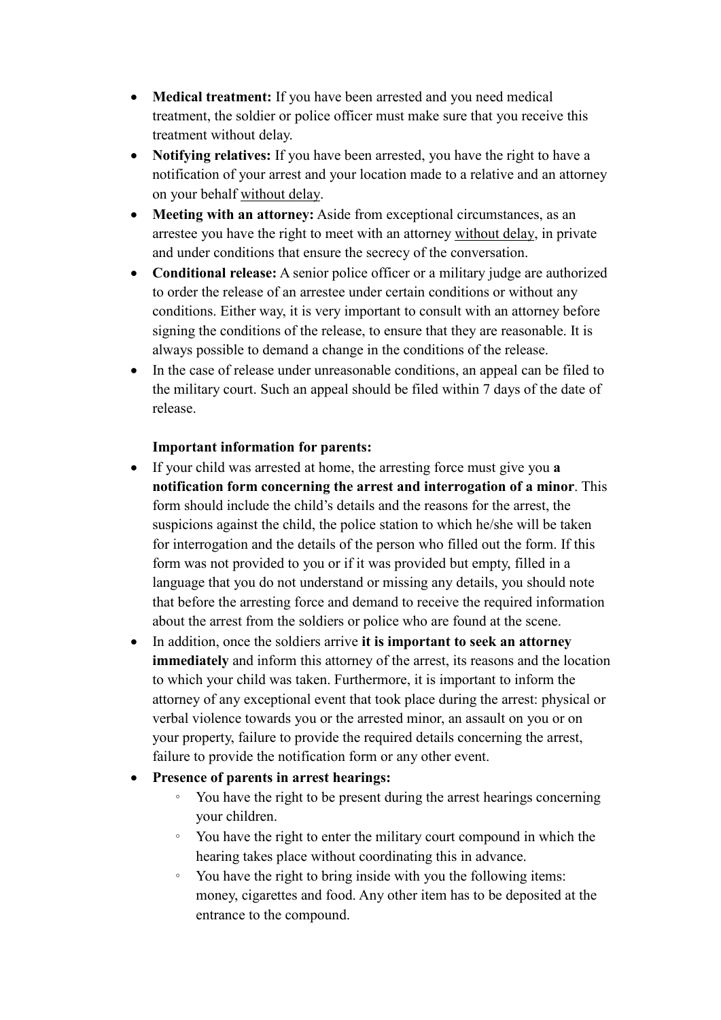- **Medical treatment:** If you have been arrested and you need medical treatment, the soldier or police officer must make sure that you receive this treatment without delay.
- **Notifying relatives:** If you have been arrested, you have the right to have a notification of your arrest and your location made to a relative and an attorney on your behalf without delay.
- **Meeting with an attorney:** Aside from exceptional circumstances, as an arrestee you have the right to meet with an attorney without delay, in private and under conditions that ensure the secrecy of the conversation.
- **Conditional release:** A senior police officer or a military judge are authorized to order the release of an arrestee under certain conditions or without any conditions. Either way, it is very important to consult with an attorney before signing the conditions of the release, to ensure that they are reasonable. It is always possible to demand a change in the conditions of the release.
- In the case of release under unreasonable conditions, an appeal can be filed to the military court. Such an appeal should be filed within 7 days of the date of release.

#### **Important information for parents:**

- If your child was arrested at home, the arresting force must give you **a notification form concerning the arrest and interrogation of a minor**. This form should include the child's details and the reasons for the arrest, the suspicions against the child, the police station to which he/she will be taken for interrogation and the details of the person who filled out the form. If this form was not provided to you or if it was provided but empty, filled in a language that you do not understand or missing any details, you should note that before the arresting force and demand to receive the required information about the arrest from the soldiers or police who are found at the scene.
- In addition, once the soldiers arrive **it is important to seek an attorney immediately** and inform this attorney of the arrest, its reasons and the location to which your child was taken. Furthermore, it is important to inform the attorney of any exceptional event that took place during the arrest: physical or verbal violence towards you or the arrested minor, an assault on you or on your property, failure to provide the required details concerning the arrest, failure to provide the notification form or any other event.

#### • **Presence of parents in arrest hearings:**

- You have the right to be present during the arrest hearings concerning your children.
- You have the right to enter the military court compound in which the hearing takes place without coordinating this in advance.
- You have the right to bring inside with you the following items: money, cigarettes and food. Any other item has to be deposited at the entrance to the compound.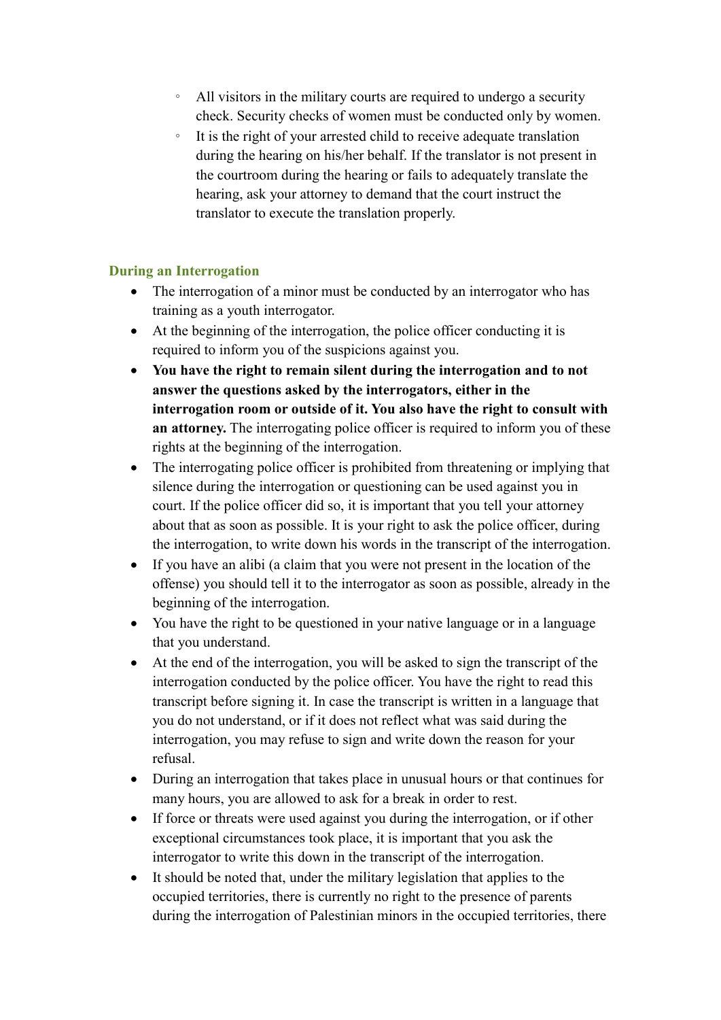- All visitors in the military courts are required to undergo a security check. Security checks of women must be conducted only by women.
- It is the right of your arrested child to receive adequate translation during the hearing on his/her behalf. If the translator is not present in the courtroom during the hearing or fails to adequately translate the hearing, ask your attorney to demand that the court instruct the translator to execute the translation properly.

#### **During an Interrogation**

- The interrogation of a minor must be conducted by an interrogator who has training as a youth interrogator.
- At the beginning of the interrogation, the police officer conducting it is required to inform you of the suspicions against you.
- **You have the right to remain silent during the interrogation and to not answer the questions asked by the interrogators, either in the interrogation room or outside of it. You also have the right to consult with an attorney.** The interrogating police officer is required to inform you of these rights at the beginning of the interrogation.
- The interrogating police officer is prohibited from threatening or implying that silence during the interrogation or questioning can be used against you in court. If the police officer did so, it is important that you tell your attorney about that as soon as possible. It is your right to ask the police officer, during the interrogation, to write down his words in the transcript of the interrogation.
- If you have an alibi (a claim that you were not present in the location of the offense) you should tell it to the interrogator as soon as possible, already in the beginning of the interrogation.
- You have the right to be questioned in your native language or in a language that you understand.
- At the end of the interrogation, you will be asked to sign the transcript of the interrogation conducted by the police officer. You have the right to read this transcript before signing it. In case the transcript is written in a language that you do not understand, or if it does not reflect what was said during the interrogation, you may refuse to sign and write down the reason for your refusal.
- During an interrogation that takes place in unusual hours or that continues for many hours, you are allowed to ask for a break in order to rest.
- If force or threats were used against you during the interrogation, or if other exceptional circumstances took place, it is important that you ask the interrogator to write this down in the transcript of the interrogation.
- It should be noted that, under the military legislation that applies to the occupied territories, there is currently no right to the presence of parents during the interrogation of Palestinian minors in the occupied territories, there